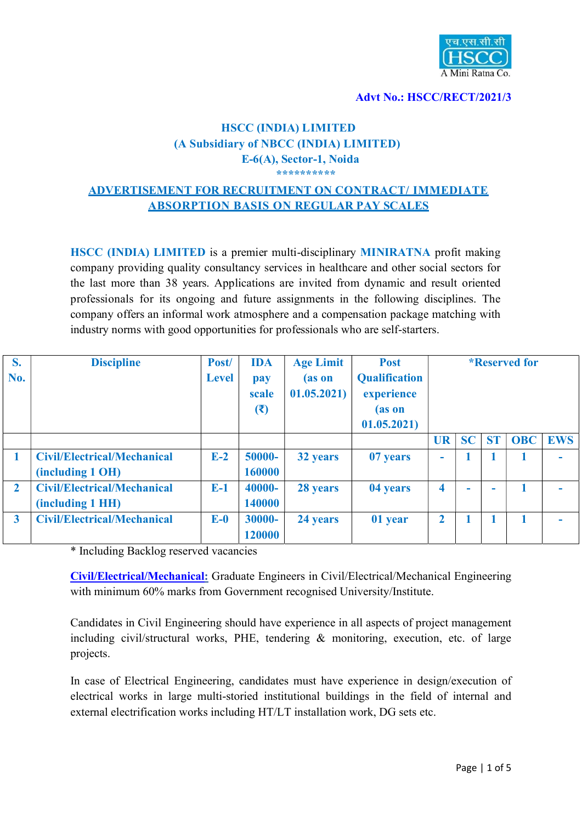

#### Advt No.: HSCC/RECT/2021/3

### HSCC (INDIA) LIMITED (A Subsidiary of NBCC (INDIA) LIMITED) E-6(A), Sector-1, Noida \*\*\*\*\*\*\*\*\*\*

# ADVERTISEMENT FOR RECRUITMENT ON CONTRACT/ IMMEDIATE ABSORPTION BASIS ON REGULAR PAY SCALES

HSCC (INDIA) LIMITED is a premier multi-disciplinary MINIRATNA profit making company providing quality consultancy services in healthcare and other social sectors for the last more than 38 years. Applications are invited from dynamic and result oriented professionals for its ongoing and future assignments in the following disciplines. The company offers an informal work atmosphere and a compensation package matching with industry norms with good opportunities for professionals who are self-starters.

| S.                      | <b>Discipline</b>                  | Post/        | <b>IDA</b> | <b>Age Limit</b> | <b>Post</b>          | <i>*</i> Reserved for    |           |           |            |            |
|-------------------------|------------------------------------|--------------|------------|------------------|----------------------|--------------------------|-----------|-----------|------------|------------|
| No.                     |                                    | <b>Level</b> | pay        | (as on           | <b>Qualification</b> |                          |           |           |            |            |
|                         |                                    |              | scale      | 01.05.2021       | experience           |                          |           |           |            |            |
|                         |                                    |              | (3)        |                  | (as on               |                          |           |           |            |            |
|                         |                                    |              |            |                  | 01.05.2021           |                          |           |           |            |            |
|                         |                                    |              |            |                  |                      | <b>UR</b>                | <b>SC</b> | <b>ST</b> | <b>OBC</b> | <b>EWS</b> |
|                         | <b>Civil/Electrical/Mechanical</b> | $E-2$        | 50000-     | 32 years         | 07 years             | $\overline{\phantom{0}}$ |           |           |            |            |
|                         | (including 1 OH)                   |              | 160000     |                  |                      |                          |           |           |            |            |
| $\overline{2}$          | <b>Civil/Electrical/Mechanical</b> | $E-1$        | 40000-     | 28 years         | 04 years             | 4                        | ۰         |           |            |            |
|                         | (including 1 HH)                   |              | 140000     |                  |                      |                          |           |           |            |            |
| $\overline{\mathbf{3}}$ | <b>Civil/Electrical/Mechanical</b> | $E-0$        | 30000-     | 24 years         | 01 year              | $\overline{2}$           |           |           |            |            |
|                         |                                    |              | 120000     |                  |                      |                          |           |           |            |            |

\* Including Backlog reserved vacancies

Civil/Electrical/Mechanical: Graduate Engineers in Civil/Electrical/Mechanical Engineering with minimum 60% marks from Government recognised University/Institute.

Candidates in Civil Engineering should have experience in all aspects of project management including civil/structural works, PHE, tendering & monitoring, execution, etc. of large projects.

In case of Electrical Engineering, candidates must have experience in design/execution of electrical works in large multi-storied institutional buildings in the field of internal and external electrification works including HT/LT installation work, DG sets etc.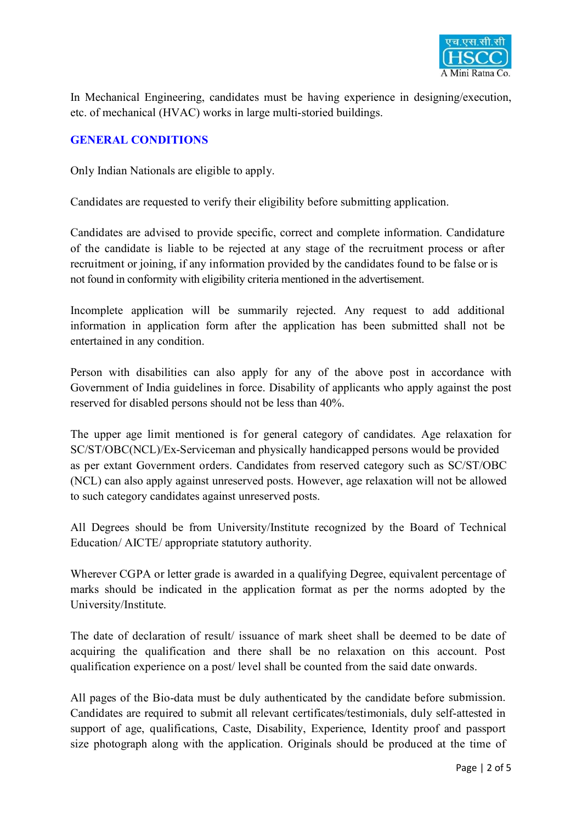

In Mechanical Engineering, candidates must be having experience in designing/execution, etc. of mechanical (HVAC) works in large multi-storied buildings.

# GENERAL CONDITIONS

Only Indian Nationals are eligible to apply.

Candidates are requested to verify their eligibility before submitting application.

Candidates are advised to provide specific, correct and complete information. Candidature of the candidate is liable to be rejected at any stage of the recruitment process or after recruitment or joining, if any information provided by the candidates found to be false or is not found in conformity with eligibility criteria mentioned in the advertisement.

Incomplete application will be summarily rejected. Any request to add additional information in application form after the application has been submitted shall not be entertained in any condition.

Person with disabilities can also apply for any of the above post in accordance with Government of India guidelines in force. Disability of applicants who apply against the post reserved for disabled persons should not be less than 40%.

The upper age limit mentioned is for general category of candidates. Age relaxation for SC/ST/OBC(NCL)/Ex-Serviceman and physically handicapped persons would be provided as per extant Government orders. Candidates from reserved category such as SC/ST/OBC (NCL) can also apply against unreserved posts. However, age relaxation will not be allowed to such category candidates against unreserved posts.

All Degrees should be from University/Institute recognized by the Board of Technical Education/ AICTE/ appropriate statutory authority.

Wherever CGPA or letter grade is awarded in a qualifying Degree, equivalent percentage of marks should be indicated in the application format as per the norms adopted by the University/Institute.

The date of declaration of result/ issuance of mark sheet shall be deemed to be date of acquiring the qualification and there shall be no relaxation on this account. Post qualification experience on a post/ level shall be counted from the said date onwards.

All pages of the Bio-data must be duly authenticated by the candidate before submission. Candidates are required to submit all relevant certificates/testimonials, duly self-attested in support of age, qualifications, Caste, Disability, Experience, Identity proof and passport size photograph along with the application. Originals should be produced at the time of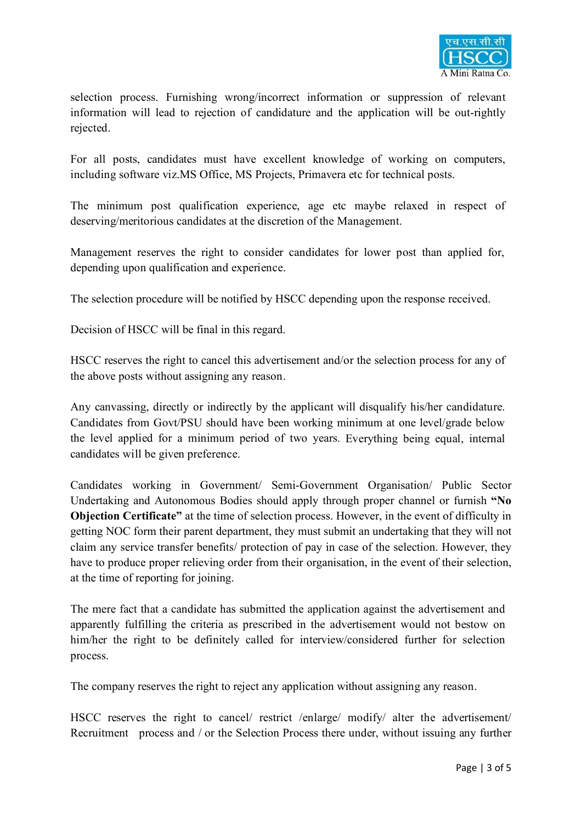

selection process. Furnishing wrong/incorrect information or suppression of relevant information will lead to rejection of candidature and the application will be out-rightly rejected.

For all posts, candidates must have excellent knowledge of working on computers, including software viz.MS Office, MS Projects, Primavera etc for technical posts.

The minimum post qualification experience, age etc maybe relaxed in respect of deserving/meritorious candidates at the discretion of the Management.

Management reserves the right to consider candidates for lower post than applied for, depending upon qualification and experience.

The selection procedure will be notified by HSCC depending upon the response received.

Decision of HSCC will be final in this regard.

HSCC reserves the right to cancel this advertisement and/or the selection process for any of the above posts without assigning any reason.

Any canvassing, directly or indirectly by the applicant will disqualify his/her candidature. Candidates from Govt/PSU should have been working minimum at one level/grade below the level applied for a minimum period of two years. Everything being equal, internal candidates will be given preference.

Candidates working in Government/ Semi-Government Organisation/ Public Sector Undertaking and Autonomous Bodies should apply through proper channel or furnish "No Objection Certificate" at the time of selection process. However, in the event of difficulty in getting NOC form their parent department, they must submit an undertaking that they will not claim any service transfer benefits/ protection of pay in case of the selection. However, they have to produce proper relieving order from their organisation, in the event of their selection, at the time of reporting for joining.

The mere fact that a candidate has submitted the application against the advertisement and apparently fulfilling the criteria as prescribed in the advertisement would not bestow on him/her the right to be definitely called for interview/considered further for selection process.

The company reserves the right to reject any application without assigning any reason.

HSCC reserves the right to cancel/ restrict /enlarge/ modify/ alter the advertisement/ Recruitment process and / or the Selection Process there under, without issuing any further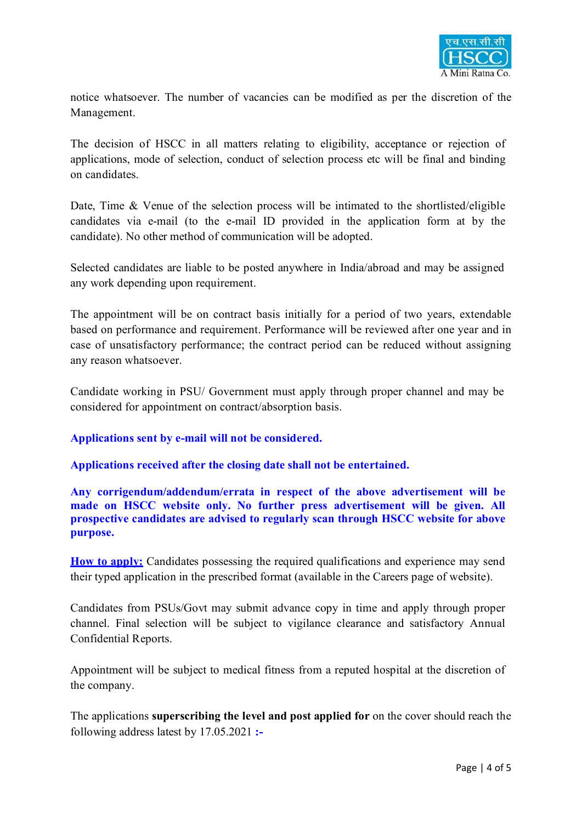

notice whatsoever. The number of vacancies can be modified as per the discretion of the Management.

The decision of HSCC in all matters relating to eligibility, acceptance or rejection of applications, mode of selection, conduct of selection process etc will be final and binding on candidates.

Date, Time & Venue of the selection process will be intimated to the shortlisted/eligible candidates via e-mail (to the e-mail ID provided in the application form at by the candidate). No other method of communication will be adopted.

Selected candidates are liable to be posted anywhere in India/abroad and may be assigned any work depending upon requirement.

The appointment will be on contract basis initially for a period of two years, extendable based on performance and requirement. Performance will be reviewed after one year and in case of unsatisfactory performance; the contract period can be reduced without assigning any reason whatsoever.

Candidate working in PSU/ Government must apply through proper channel and may be considered for appointment on contract/absorption basis.

### Applications sent by e-mail will not be considered.

Applications received after the closing date shall not be entertained.

Any corrigendum/addendum/errata in respect of the above advertisement will be made on HSCC website only. No further press advertisement will be given. All prospective candidates are advised to regularly scan through HSCC website for above purpose.

How to apply: Candidates possessing the required qualifications and experience may send their typed application in the prescribed format (available in the Careers page of website).

Candidates from PSUs/Govt may submit advance copy in time and apply through proper channel. Final selection will be subject to vigilance clearance and satisfactory Annual Confidential Reports.

Appointment will be subject to medical fitness from a reputed hospital at the discretion of the company.

The applications superscribing the level and post applied for on the cover should reach the following address latest by 17.05.2021 :-